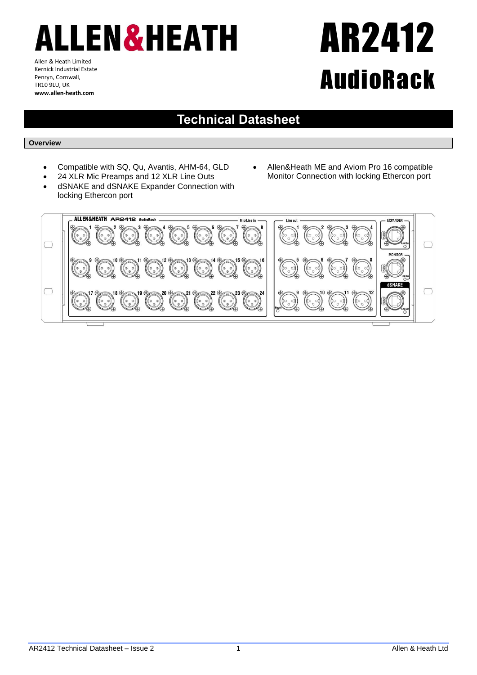# LLEN&HEATH

Allen & Heath Limited Kernick Industrial Estate Penryn, Cornwall, TR10 9LU, UK **www.allen-heath.com**

## AR2412 AudioRack

### **Technical Datasheet**

#### **Overview**

- Compatible with SQ, Qu, Avantis, AHM-64, GLD
- 24 XLR Mic Preamps and 12 XLR Line Outs
- dSNAKE and dSNAKE Expander Connection with locking Ethercon port
- Allen&Heath ME and Aviom Pro 16 compatible Monitor Connection with locking Ethercon port

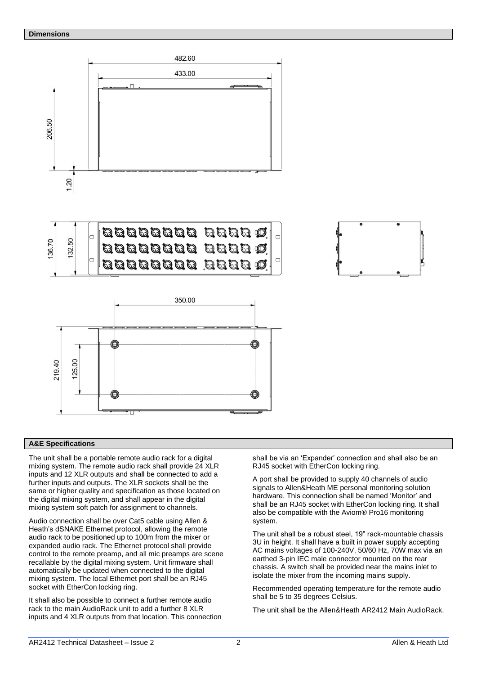#### **Dimensions**



#### **A&E Specifications**

The unit shall be a portable remote audio rack for a digital mixing system. The remote audio rack shall provide 24 XLR inputs and 12 XLR outputs and shall be connected to add a further inputs and outputs. The XLR sockets shall be the same or higher quality and specification as those located on the digital mixing system, and shall appear in the digital mixing system soft patch for assignment to channels.

Audio connection shall be over Cat5 cable using Allen & Heath's dSNAKE Ethernet protocol, allowing the remote audio rack to be positioned up to 100m from the mixer or expanded audio rack. The Ethernet protocol shall provide control to the remote preamp, and all mic preamps are scene recallable by the digital mixing system. Unit firmware shall automatically be updated when connected to the digital mixing system. The local Ethernet port shall be an RJ45 socket with EtherCon locking ring.

It shall also be possible to connect a further remote audio rack to the main AudioRack unit to add a further 8 XLR inputs and 4 XLR outputs from that location. This connection shall be via an 'Expander' connection and shall also be an RJ45 socket with EtherCon locking ring.

A port shall be provided to supply 40 channels of audio signals to Allen&Heath ME personal monitoring solution hardware. This connection shall be named 'Monitor' and shall be an RJ45 socket with EtherCon locking ring. It shall also be compatible with the Aviom® Pro16 monitoring system.

The unit shall be a robust steel, 19" rack-mountable chassis 3U in height. It shall have a built in power supply accepting AC mains voltages of 100-240V, 50/60 Hz, 70W max via an earthed 3-pin IEC male connector mounted on the rear chassis. A switch shall be provided near the mains inlet to isolate the mixer from the incoming mains supply.

Recommended operating temperature for the remote audio shall be 5 to 35 degrees Celsius.

The unit shall be the Allen&Heath AR2412 Main AudioRack.